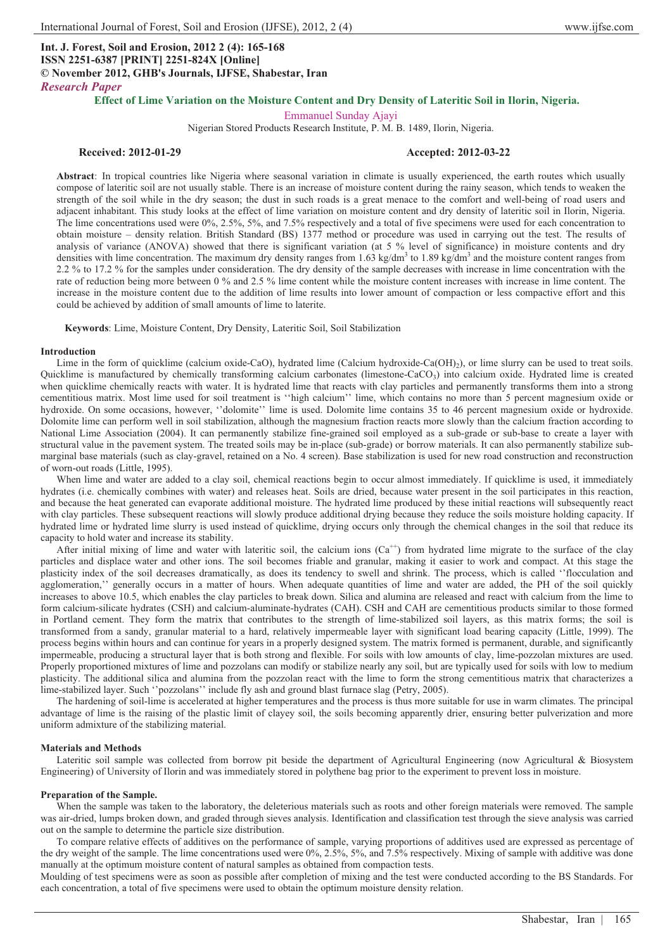# **Int. J. Forest, Soil and Erosion, 2012 2 (4): 165-168 ISSN 2251-6387 [PRINT] 2251-824X [Online] © November 2012, GHB's Journals, IJFSE, Shabestar, Iran** *Research Paper*

**Effect of Lime Variation on the Moisture Content and Dry Density of Lateritic Soil in Ilorin, Nigeria.** 

Emmanuel Sunday Ajayi

Nigerian Stored Products Research Institute, P. M. B. 1489, Ilorin, Nigeria.

### **Received: 2012-01-29 Accepted: 2012-03-22**

**Abstract**: In tropical countries like Nigeria where seasonal variation in climate is usually experienced, the earth routes which usually compose of lateritic soil are not usually stable. There is an increase of moisture content during the rainy season, which tends to weaken the strength of the soil while in the dry season; the dust in such roads is a great menace to the comfort and well-being of road users and adjacent inhabitant. This study looks at the effect of lime variation on moisture content and dry density of lateritic soil in Ilorin, Nigeria. The lime concentrations used were 0%, 2.5%, 5%, and 7.5% respectively and a total of five specimens were used for each concentration to obtain moisture – density relation. British Standard (BS) 1377 method or procedure was used in carrying out the test. The results of analysis of variance (ANOVA) showed that there is significant variation (at 5 % level of significance) in moisture contents and dry densities with lime concentration. The maximum dry density ranges from 1.63 kg/dm<sup>3</sup> to 1.89 kg/dm<sup>3</sup> and the moisture content ranges from 2.2 % to 17.2 % for the samples under consideration. The dry density of the sample decreases with increase in lime concentration with the rate of reduction being more between 0 % and 2.5 % lime content while the moisture content increases with increase in lime content. The increase in the moisture content due to the addition of lime results into lower amount of compaction or less compactive effort and this could be achieved by addition of small amounts of lime to laterite.

**Keywords**: Lime, Moisture Content, Dry Density, Lateritic Soil, Soil Stabilization

#### **Introduction**

Lime in the form of quicklime (calcium oxide-CaO), hydrated lime (Calcium hydroxide-Ca(OH)<sub>2</sub>), or lime slurry can be used to treat soils. Quicklime is manufactured by chemically transforming calcium carbonates (limestone-CaCO<sub>3</sub>) into calcium oxide. Hydrated lime is created when quicklime chemically reacts with water. It is hydrated lime that reacts with clay particles and permanently transforms them into a strong cementitious matrix. Most lime used for soil treatment is ''high calcium'' lime, which contains no more than 5 percent magnesium oxide or hydroxide. On some occasions, however, ''dolomite'' lime is used. Dolomite lime contains 35 to 46 percent magnesium oxide or hydroxide. Dolomite lime can perform well in soil stabilization, although the magnesium fraction reacts more slowly than the calcium fraction according to National Lime Association (2004). It can permanently stabilize fine-grained soil employed as a sub-grade or sub-base to create a layer with structural value in the pavement system. The treated soils may be in-place (sub-grade) or borrow materials. It can also permanently stabilize submarginal base materials (such as clay-gravel, retained on a No. 4 screen). Base stabilization is used for new road construction and reconstruction of worn-out roads (Little, 1995).

When lime and water are added to a clay soil, chemical reactions begin to occur almost immediately. If quicklime is used, it immediately hydrates (i.e. chemically combines with water) and releases heat. Soils are dried, because water present in the soil participates in this reaction, and because the heat generated can evaporate additional moisture. The hydrated lime produced by these initial reactions will subsequently react with clay particles. These subsequent reactions will slowly produce additional drying because they reduce the soils moisture holding capacity. If hydrated lime or hydrated lime slurry is used instead of quicklime, drying occurs only through the chemical changes in the soil that reduce its capacity to hold water and increase its stability.

After initial mixing of lime and water with lateritic soil, the calcium ions  $(Ca^{+})$  from hydrated lime migrate to the surface of the clay particles and displace water and other ions. The soil becomes friable and granular, making it easier to work and compact. At this stage the plasticity index of the soil decreases dramatically, as does its tendency to swell and shrink. The process, which is called ''flocculation and agglomeration,'' generally occurs in a matter of hours. When adequate quantities of lime and water are added, the PH of the soil quickly increases to above 10.5, which enables the clay particles to break down. Silica and alumina are released and react with calcium from the lime to form calcium-silicate hydrates (CSH) and calcium-aluminate-hydrates (CAH). CSH and CAH are cementitious products similar to those formed in Portland cement. They form the matrix that contributes to the strength of lime-stabilized soil layers, as this matrix forms; the soil is transformed from a sandy, granular material to a hard, relatively impermeable layer with significant load bearing capacity (Little, 1999). The process begins within hours and can continue for years in a properly designed system. The matrix formed is permanent, durable, and significantly impermeable, producing a structural layer that is both strong and flexible. For soils with low amounts of clay, lime-pozzolan mixtures are used. Properly proportioned mixtures of lime and pozzolans can modify or stabilize nearly any soil, but are typically used for soils with low to medium plasticity. The additional silica and alumina from the pozzolan react with the lime to form the strong cementitious matrix that characterizes a lime-stabilized layer. Such ''pozzolans'' include fly ash and ground blast furnace slag (Petry, 2005).

The hardening of soil-lime is accelerated at higher temperatures and the process is thus more suitable for use in warm climates. The principal advantage of lime is the raising of the plastic limit of clayey soil, the soils becoming apparently drier, ensuring better pulverization and more uniform admixture of the stabilizing material.

#### **Materials and Methods**

Lateritic soil sample was collected from borrow pit beside the department of Agricultural Engineering (now Agricultural & Biosystem Engineering) of University of Ilorin and was immediately stored in polythene bag prior to the experiment to prevent loss in moisture.

## **Preparation of the Sample.**

When the sample was taken to the laboratory, the deleterious materials such as roots and other foreign materials were removed. The sample was air-dried, lumps broken down, and graded through sieves analysis. Identification and classification test through the sieve analysis was carried out on the sample to determine the particle size distribution.

To compare relative effects of additives on the performance of sample, varying proportions of additives used are expressed as percentage of the dry weight of the sample. The lime concentrations used were 0%, 2.5%, 5%, and 7.5% respectively. Mixing of sample with additive was done manually at the optimum moisture content of natural samples as obtained from compaction tests.

Moulding of test specimens were as soon as possible after completion of mixing and the test were conducted according to the BS Standards. For each concentration, a total of five specimens were used to obtain the optimum moisture density relation.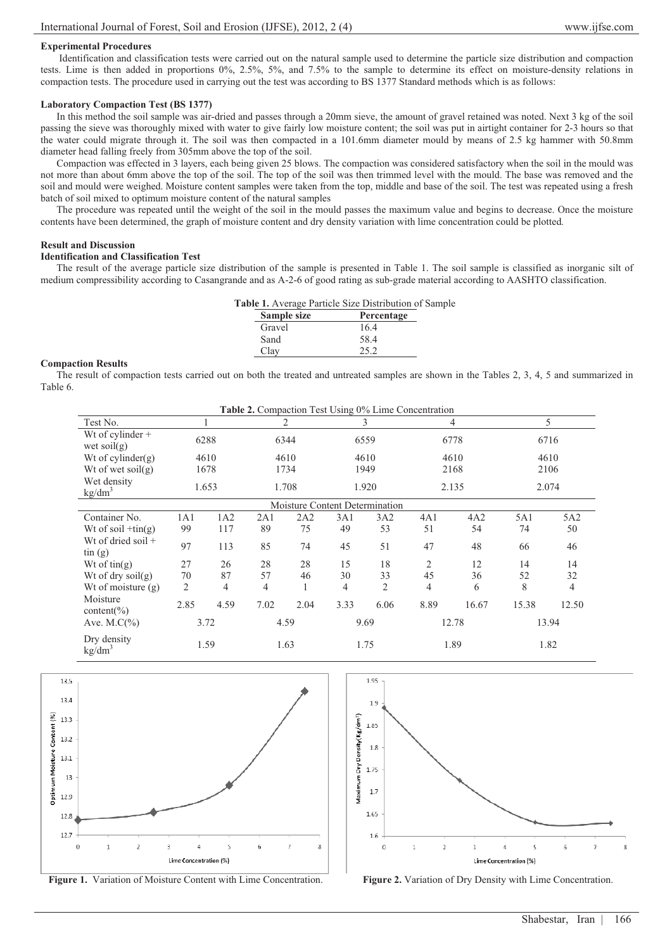## **Experimental Procedures**

 Identification and classification tests were carried out on the natural sample used to determine the particle size distribution and compaction tests. Lime is then added in proportions 0%, 2.5%, 5%, and 7.5% to the sample to determine its effect on moisture-density relations in compaction tests. The procedure used in carrying out the test was according to BS 1377 Standard methods which is as follows:

## **Laboratory Compaction Test (BS 1377)**

In this method the soil sample was air-dried and passes through a 20mm sieve, the amount of gravel retained was noted. Next 3 kg of the soil passing the sieve was thoroughly mixed with water to give fairly low moisture content; the soil was put in airtight container for 2-3 hours so that the water could migrate through it. The soil was then compacted in a 101.6mm diameter mould by means of 2.5 kg hammer with 50.8mm diameter head falling freely from 305mm above the top of the soil.

Compaction was effected in 3 layers, each being given 25 blows. The compaction was considered satisfactory when the soil in the mould was not more than about 6mm above the top of the soil. The top of the soil was then trimmed level with the mould. The base was removed and the soil and mould were weighed. Moisture content samples were taken from the top, middle and base of the soil. The test was repeated using a fresh batch of soil mixed to optimum moisture content of the natural samples

The procedure was repeated until the weight of the soil in the mould passes the maximum value and begins to decrease. Once the moisture contents have been determined, the graph of moisture content and dry density variation with lime concentration could be plotted.

## **Result and Discussion**

## **Identification and Classification Test**

The result of the average particle size distribution of the sample is presented in Table 1. The soil sample is classified as inorganic silt of medium compressibility according to Casangrande and as A-2-6 of good rating as sub-grade material according to AASHTO classification.

| Table 1. Average Particle Size Distribution of Sample |  |  |
|-------------------------------------------------------|--|--|
|-------------------------------------------------------|--|--|

| Sample size | Percentage |
|-------------|------------|
| Gravel      | 16.4       |
| Sand        | 58.4       |
| Clay        | 25.2       |

## **Compaction Results**

The result of compaction tests carried out on both the treated and untreated samples are shown in the Tables 2, 3, 4, 5 and summarized in Table 6.

| Table 2. Compaction Test Using 0% Lime Concentration |                |       |                |       |                                |       |      |       |       |       |
|------------------------------------------------------|----------------|-------|----------------|-------|--------------------------------|-------|------|-------|-------|-------|
| Test No.                                             |                |       |                | 2     |                                | 3     |      | 4     |       | 5     |
| Wt of cylinder $+$<br>wet soil $(g)$                 |                | 6288  |                | 6344  |                                | 6559  |      | 6778  |       | 6716  |
| Wt of cylinder $(g)$                                 |                | 4610  |                | 4610  |                                | 4610  |      | 4610  |       | 4610  |
| Wt of wet soil $(g)$                                 |                | 1678  |                | 1734  |                                | 1949  |      | 2168  |       | 2106  |
| Wet density<br>$\text{kg/dm}^3$                      |                | 1.653 |                | 1.708 |                                | 1.920 |      | 2.135 |       | 2.074 |
|                                                      |                |       |                |       | Moisture Content Determination |       |      |       |       |       |
| Container No.                                        | 1A1            | 1A2   | 2A1            | 2A2   | 3A1                            | 3A2   | 4A1  | 4A2   | 5A1   | 5A2   |
| Wt of soil $+iin(g)$                                 | 99             | 117   | 89             | 75    | 49                             | 53    | 51   | 54    | 74    | 50    |
| Wt of dried soil $+$<br>$\sin(g)$                    | 97             | 113   | 85             | 74    | 45                             | 51    | 47   | 48    | 66    | 46    |
| Wt of $\text{tin}(\mathbf{g})$                       | 27             | 26    | 28             | 28    | 15                             | 18    | 2    | 12    | 14    | 14    |
| Wt of dry soil $(g)$                                 | 70             | 87    | 57             | 46    | 30                             | 33    | 45   | 36    | 52    | 32    |
| Wt of moisture $(g)$                                 | $\overline{2}$ | 4     | $\overline{4}$ |       | $\overline{4}$                 | 2     | 4    | 6     | 8     | 4     |
| Moisture<br>content( $\%$ )                          | 2.85           | 4.59  | 7.02           | 2.04  | 3.33                           | 6.06  | 8.89 | 16.67 | 15.38 | 12.50 |
| Ave. M.C $(\%)$                                      |                | 3.72  |                | 4.59  |                                | 9.69  |      | 12.78 |       | 13.94 |
| Dry density<br>$\text{kg/dm}^3$                      |                | 1.59  |                | 1.63  |                                | 1.75  |      | 1.89  |       | 1.82  |





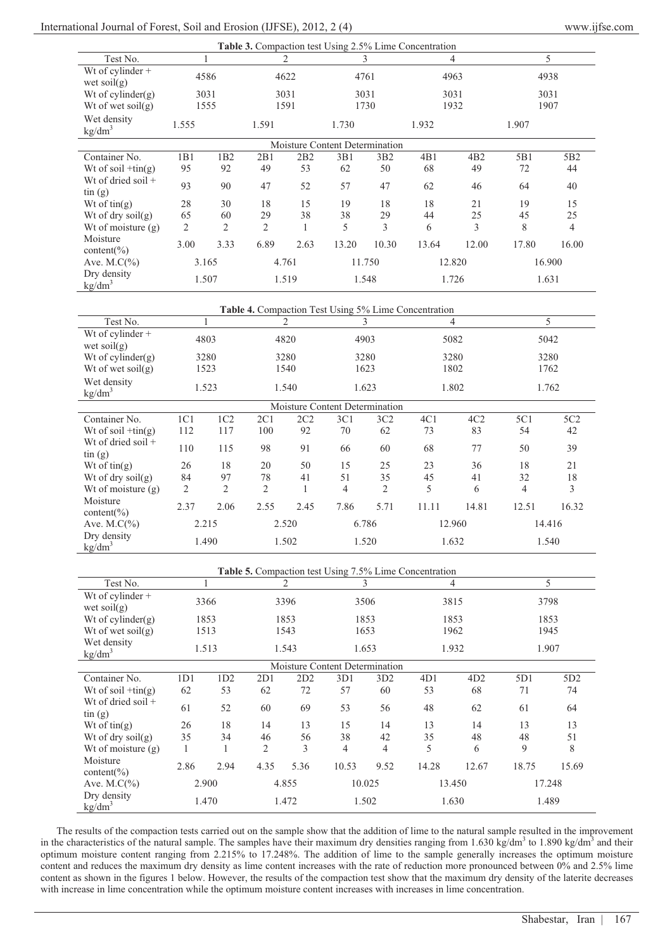| Table 3. Compaction test Using 2.5% Lime Concentration |                |                |                |                |                                |                 |                                                        |                 |       |                       |
|--------------------------------------------------------|----------------|----------------|----------------|----------------|--------------------------------|-----------------|--------------------------------------------------------|-----------------|-------|-----------------------|
| Test No.                                               |                | 1              |                | $\overline{2}$ |                                | 3               |                                                        | $\overline{4}$  |       | 5                     |
| Wt of cylinder +                                       |                | 4586           |                | 4622           | 4761                           |                 |                                                        | 4963            |       | 4938                  |
| wet soil $(g)$                                         |                |                |                |                |                                |                 |                                                        |                 |       |                       |
| Wt of cylinder(g)                                      |                | 3031           |                | 3031           | 3031                           |                 |                                                        | 3031            | 3031  |                       |
| Wt of wet soil(g)                                      |                | 1555           |                | 1591           | 1730                           |                 |                                                        | 1932            | 1907  |                       |
| Wet density                                            | 1.555          |                | 1.591          |                | 1.730                          |                 | 1.932                                                  |                 | 1.907 |                       |
| kg/dm <sup>3</sup>                                     |                |                |                |                |                                |                 |                                                        |                 |       |                       |
|                                                        |                |                |                |                | Moisture Content Determination |                 |                                                        |                 |       |                       |
| Container No.                                          | 1B1            | 1B2            | 2B1            | 2B2            | 3B1                            | 3B <sub>2</sub> | 4B1                                                    | 4B <sub>2</sub> | 5B1   | 5B <sub>2</sub>       |
| Wt of soil $+tin(g)$                                   | 95             | 92             | 49             | 53             | 62                             | 50              | 68                                                     | 49              | 72    | 44                    |
| Wt of dried soil +<br>$\sin(g)$                        | 93             | 90             | 47             | 52             | 57                             | 47              | 62                                                     | 46              | 64    | 40                    |
| Wt of $\text{tin}(g)$                                  | 28             | 30             | 18             | 15             | 19                             | 18              | 18                                                     | 21              | 19    | 15                    |
| Wt of dry soil(g)                                      | 65             | 60             | 29             | 38             | 38                             | 29              | 44                                                     | 25              | 45    | 25                    |
| Wt of moisture $(g)$                                   | $\mathfrak{2}$ | $\overline{2}$ | $\overline{2}$ | $\mathbf{1}$   | 5                              | 3               | 6                                                      | $\mathfrak{Z}$  | 8     | $\overline{4}$        |
| Moisture                                               | 3.00           | 3.33           | 6.89           | 2.63           | 13.20                          | 10.30           | 13.64                                                  | 12.00           | 17.80 | 16.00                 |
| content( $\%$ )                                        |                |                |                |                |                                |                 |                                                        |                 |       |                       |
| Ave. $M.C(\%)$                                         |                | 3.165          |                | 4.761          |                                | 11.750          |                                                        | 12.820          |       | 16.900                |
| Dry density                                            |                | 1.507          |                | 1.519          |                                | 1.548           |                                                        | 1.726           | 1.631 |                       |
| kg/dm <sup>3</sup>                                     |                |                |                |                |                                |                 |                                                        |                 |       |                       |
|                                                        |                |                |                |                |                                |                 | Table 4. Compaction Test Using 5% Lime Concentration   |                 |       |                       |
| Test No.                                               |                | $\mathbf{1}$   |                | $\overline{2}$ |                                | 3               |                                                        | $\overline{4}$  |       | 5                     |
| Wt of cylinder +                                       |                |                |                | 4820           | 4903                           |                 |                                                        | 5082            |       | 5042                  |
| wet soil $(g)$                                         |                | 4803           |                |                |                                |                 |                                                        |                 |       |                       |
| Wt of cylinder(g)                                      |                | 3280           |                | 3280           | 3280                           |                 |                                                        | 3280            |       | 3280                  |
| Wt of wet soil(g)                                      |                | 1523           |                | 1540           | 1623                           |                 |                                                        | 1802            |       | 1762                  |
| Wet density                                            |                | 1.523          |                | 1.540          | 1.623                          |                 |                                                        | 1.802           | 1.762 |                       |
| kg/dm <sup>3</sup><br>Moisture Content Determination   |                |                |                |                |                                |                 |                                                        |                 |       |                       |
| Container No.                                          | 1C1            | 1C2            | 2C1            | 2C2            | 3C1                            | 3C2             | 4C1                                                    | 4C2             | 5C1   | 5C <sub>2</sub>       |
| Wt of soil $+tin(g)$                                   | 112            | 117            | 100            | 92             | 70                             | 62              | 73                                                     | 83              | 54    | 42                    |
| Wt of dried soil $+$                                   |                |                |                |                |                                |                 |                                                        |                 |       |                       |
| $\sin(g)$                                              | 110            | 115            | 98             | 91             | 66                             | 60              | 68                                                     | 77              | 50    | 39                    |
| Wt of $\text{tin}(g)$                                  | 26             | 18             | 20             | 50             | 15                             | 25              | 23                                                     | 36              | 18    | 21                    |
| Wt of dry soil(g)                                      | 84             | 97             | 78             | 41             | 51                             | 35              | 45                                                     | 41              | 32    | 18                    |
| Wt of moisture $(g)$                                   | $\mathfrak{2}$ | $\mathfrak{2}$ | $\overline{2}$ | $\mathbf{1}$   | $\overline{4}$                 | $\mathfrak{2}$  | 5                                                      | 6               | 4     | 3                     |
| Moisture<br>$content(\%)$                              | 2.37           | 2.06           | 2.55           | 2.45           | 7.86                           | 5.71            | 11.11                                                  | 14.81           | 12.51 | 16.32                 |
| Ave. $M.C(\%)$                                         |                | 2.215          |                | 2.520          | 6.786                          |                 |                                                        | 12.960          |       | 14.416                |
| Dry density                                            |                |                |                |                |                                |                 |                                                        |                 |       |                       |
| $\text{kg/dm}^3$                                       |                | 1.490          |                | 1.502          | 1.520                          |                 |                                                        | 1.632           |       | 1.540                 |
|                                                        |                |                |                |                |                                |                 |                                                        |                 |       |                       |
|                                                        |                |                |                |                |                                |                 | Table 5. Compaction test Using 7.5% Lime Concentration |                 |       |                       |
| Test No.<br>Wt of cylinder $+$                         |                |                |                | 2              |                                | 3               |                                                        | 4               |       | 5                     |
| wet soil $(g)$                                         |                | 3366           |                | 3396           | 3506                           |                 |                                                        | 3815            |       | 3798                  |
| Wt of cylinder $(g)$                                   |                | 1853           |                | 1853           | 1853                           |                 |                                                        | 1853            |       | 1853                  |
| Wt of wet soil $(g)$                                   |                | 1513           |                | 1543           | 1653                           |                 |                                                        | 1962            |       | 1945                  |
| Wet density                                            |                | 1.513          |                |                | 1.653                          |                 |                                                        |                 |       | 1.907                 |
| kg/dm <sup>3</sup>                                     |                |                |                | 1.543          |                                |                 |                                                        | 1.932           |       |                       |
|                                                        |                |                |                |                | Moisture Content Determination |                 |                                                        |                 |       |                       |
| Container No.                                          | 1D1            | 1D2<br>53      | 2D1<br>62      | 2D2<br>72      | 3D1<br>57                      | 3D2<br>60       | 4D1<br>53                                              | 4D2<br>68       | 5D1   | 5D <sub>2</sub><br>74 |
| Wt of soil $+tin(g)$<br>Wt of dried soil +             | 62             |                |                |                |                                |                 |                                                        |                 | 71    |                       |
| $\sin(g)$                                              | 61             | 52             | 60             | 69             | 53                             | 56              | 48                                                     | 62              | 61    | 64                    |
| Wt of $\text{tin}(g)$                                  | 26             | 18             | 14             | 13             | 15                             | 14              | 13                                                     | 14              | 13    | 13                    |
| Wt of dry soil $(g)$                                   | 35             | 34             | 46             | 56             | 38                             | 42              | 35                                                     | 48              | 48    | 51                    |
| Wt of moisture $(g)$                                   | $\mathbf{1}$   | 1              | $\overline{2}$ | 3              | $\overline{4}$                 | 4               | 5                                                      | 6               | 9     | 8                     |
| Moisture                                               | 2.86           | 2.94           | 4.35           | 5.36           | 10.53                          | 9.52            | 14.28                                                  | 12.67           | 18.75 | 15.69                 |
| content( $\%$ )                                        |                | 2.900          |                | 4.855          |                                | 10.025          |                                                        | 13.450          |       | 17.248                |
| Ave. $M.C(\%)$<br>Dry density                          |                |                |                |                |                                |                 |                                                        |                 |       |                       |
| kg/dm <sup>3</sup>                                     |                | 1.470          |                | 1.472          | 1.502                          |                 |                                                        | 1.630           |       | 1.489                 |

The results of the compaction tests carried out on the sample show that the addition of lime to the natural sample resulted in the improvement in the characteristics of the natural sample. The samples have their maximum dry densities ranging from 1.630 kg/dm<sup>3</sup> to 1.890 kg/dm<sup>3</sup> and their optimum moisture content ranging from 2.215% to 17.248%. The addition of lime to the sample generally increases the optimum moisture content and reduces the maximum dry density as lime content increases with the rate of reduction more pronounced between 0% and 2.5% lime content as shown in the figures 1 below. However, the results of the compaction test show that the maximum dry density of the laterite decreases with increase in lime concentration while the optimum moisture content increases with increases in lime concentration.